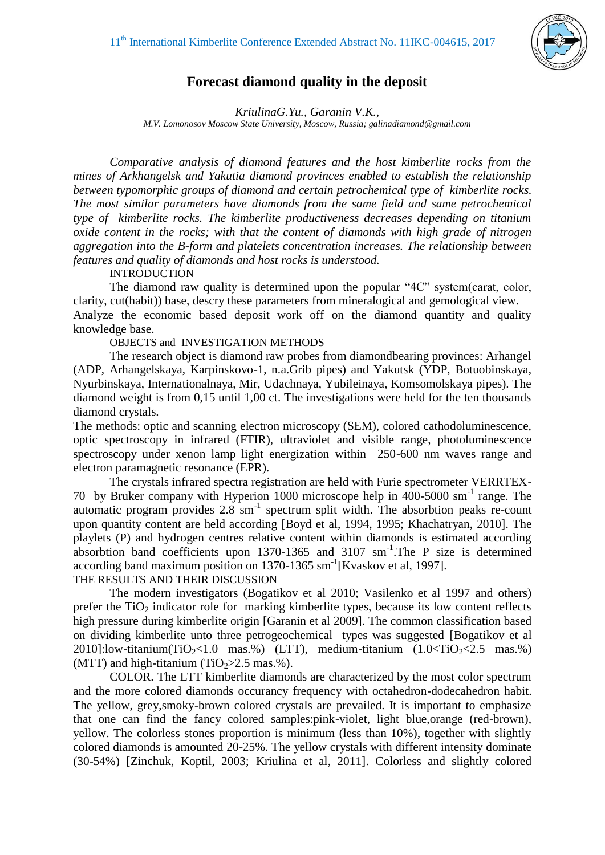

## **Forecast diamond quality in the deposit**

*KriulinaG.Yu., Garanin V.K., M.V. Lomonosov Moscow State University, Moscow, Russia; [galinadiamond@gmail.com](mailto:galinadiamond@gmail.com)*

*Comparative analysis of diamond features and the host kimberlite rocks from the mines of Arkhangelsk and Yakutia diamond provinces enabled to establish the relationship between typomorphic groups of diamond and certain petrochemical type of kimberlite rocks. The most similar parameters have diamonds from the same field and same petrochemical type of kimberlite rocks. The kimberlite productiveness decreases depending on titanium oxide content in the rocks; with that the content of diamonds with high grade of nitrogen aggregation into the B-form and platelets concentration increases. The relationship between features and quality of diamonds and host rocks is understood.* 

## **INTRODUCTION**

The diamond raw quality is determined upon the popular "4C" system(carat, color, clarity, cut(habit)) base, descry these parameters from mineralogical and gemological view. Analyze the economic based deposit work off on the diamond quantity and quality knowledge base.

OBJECTS and INVESTIGATION METHODS

The research object is diamond raw probes from diamondbearing provinces: Arhangel (ADP, Arhangelskaya, Karpinskovo-1, n.a.Grib pipes) and Yakutsk (YDP, Botuobinskaya, Nyurbinskaya, Internationalnaya, Mir, Udachnaya, Yubileinaya, Komsomolskaya pipes). The diamond weight is from 0,15 until 1,00 ct. The investigations were held for the ten thousands diamond crystals.

The methods: optic and scanning electron microscopy (SEM), colored cathodoluminescence, optic spectroscopy in infrared (FTIR), ultraviolet and visible range, photoluminescence spectroscopy under xenon lamp light energization within 250-600 nm waves range and electron paramagnetic resonance (EPR).

The crystals infrared spectra registration are held with Furie spectrometer VERRTEX-70 by Bruker company with Hyperion 1000 microscope help in 400-5000 sm-1 range. The automatic program provides 2.8 sm<sup>-1</sup> spectrum split width. The absorbtion peaks re-count upon quantity content are held according [Boyd et al, 1994, 1995; Khachatryan, 2010]. The playlets (P) and hydrogen centres relative content within diamonds is estimated according absorbtion band coefficients upon 1370-1365 and 3107 sm<sup>-1</sup>. The P size is determined according band maximum position on 1370-1365 sm<sup>-1</sup>[Kvaskov et al, 1997]. THE RESULTS AND THEIR DISCUSSION

The modern investigators (Bogatikov et al 2010; Vasilenko et al 1997 and others) prefer the  $TiO<sub>2</sub>$  indicator role for marking kimberlite types, because its low content reflects high pressure during kimberlite origin [Garanin et al 2009]. The common classification based on dividing kimberlite unto three petrogeochemical types was suggested [Bogatikov et al 2010]:low-titanium(TiO<sub>2</sub><1.0 mas.%) (LTT), medium-titanium  $(1.0<$ TiO<sub>2</sub><2.5 mas.%) (MTT) and high-titanium  $(TiO<sub>2</sub>>2.5$  mas.%).

COLOR. The LTT kimberlite diamonds are characterized by the most color spectrum and the more colored diamonds occurancy frequency with octahedron-dodecahedron habit. The yellow, grey,smoky-brown colored crystals are prevailed. It is important to emphasize that one can find the fancy colored samples:pink-violet, light blue,orange (red-brown), yellow. The colorless stones proportion is minimum (less than 10%), together with slightly colored diamonds is amounted 20-25%. The yellow crystals with different intensity dominate (30-54%) [Zinchuk, Koptil, 2003; Kriulina et al, 2011]. Colorless and slightly colored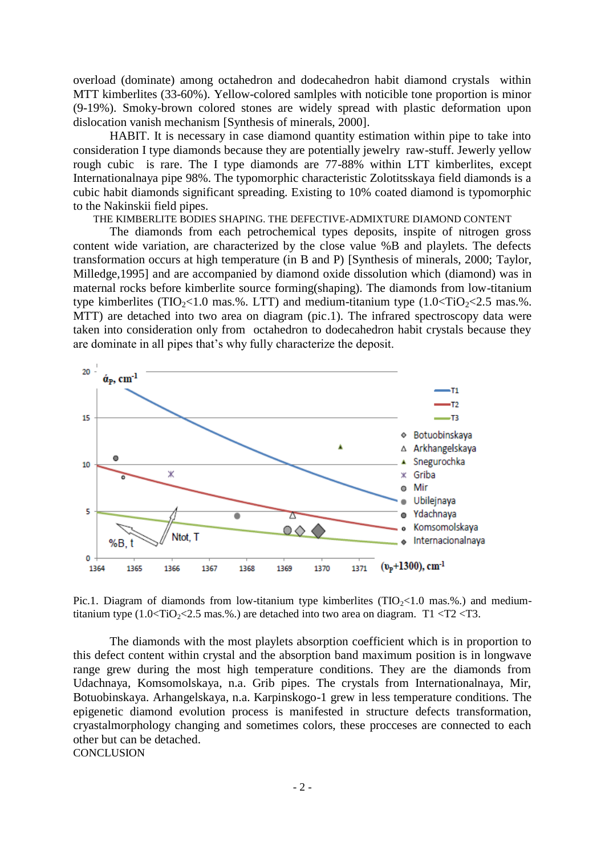overload (dominate) among octahedron and dodecahedron habit diamond crystals within MTT kimberlites (33-60%). Yellow-colored samlples with noticible tone proportion is minor (9-19%). Smoky-brown colored stones are widely spread with plastic deformation upon dislocation vanish mechanism [Synthesis of minerals, 2000].

HABIT. It is necessary in case diamond quantity estimation within pipe to take into consideration I type diamonds because they are potentially jewelry raw-stuff. Jewerly yellow rough cubic is rare. The I type diamonds are 77-88% within LTT kimberlites, except Internationalnaya pipe 98%. The typomorphic characteristic Zolotitsskaya field diamonds is a cubic habit diamonds significant spreading. Existing to 10% coated diamond is typomorphic to the Nakinskii field pipes.

THE KIMBERLITE BODIES SHAPING. THE DEFECTIVE-ADMIXTURE DIAMOND CONTENT

The diamonds from each petrochemical types deposits, inspite of nitrogen gross content wide variation, are characterized by the close value %B and playlets. The defects transformation occurs at high temperature (in B and P) [Synthesis of minerals, 2000; Taylor, Milledge,1995] and are accompanied by diamond oxide dissolution which (diamond) was in maternal rocks before kimberlite source forming(shaping). The diamonds from low-titanium type kimberlites (TIO<sub>2</sub><1.0 mas.%. LTT) and medium-titanium type  $(1.0 \leq TiO<sub>2</sub> \leq 2.5 \text{ mas.}\%$ . MTT) are detached into two area on diagram (pic.1). The infrared spectroscopy data were taken into consideration only from octahedron to dodecahedron habit crystals because they are dominate in all pipes that's why fully characterize the deposit.



Pic.1. Diagram of diamonds from low-titanium type kimberlites ( $TIO \sim 1.0$  mas.%.) and mediumtitanium type  $(1.0 \times TiO<sub>2</sub> < 2.5 \text{ mas.} \%)$  are detached into two area on diagram. T1 <T2 <T3.

The diamonds with the most playlets absorption coefficient which is in proportion to this defect content within crystal and the absorption band maximum position is in longwave range grew during the most high temperature conditions. They are the diamonds from Udachnaya, Komsomolskaya, n.a. Grib pipes. The crystals from Internationalnaya, Mir, Botuobinskaya. Arhangelskaya, n.a. Karpinskogo-1 grew in less temperature conditions. The epigenetic diamond evolution process is manifested in structure defects transformation, cryastalmorphology changing and sometimes colors, these procceses are connected to each other but can be detached. **CONCLUSION**